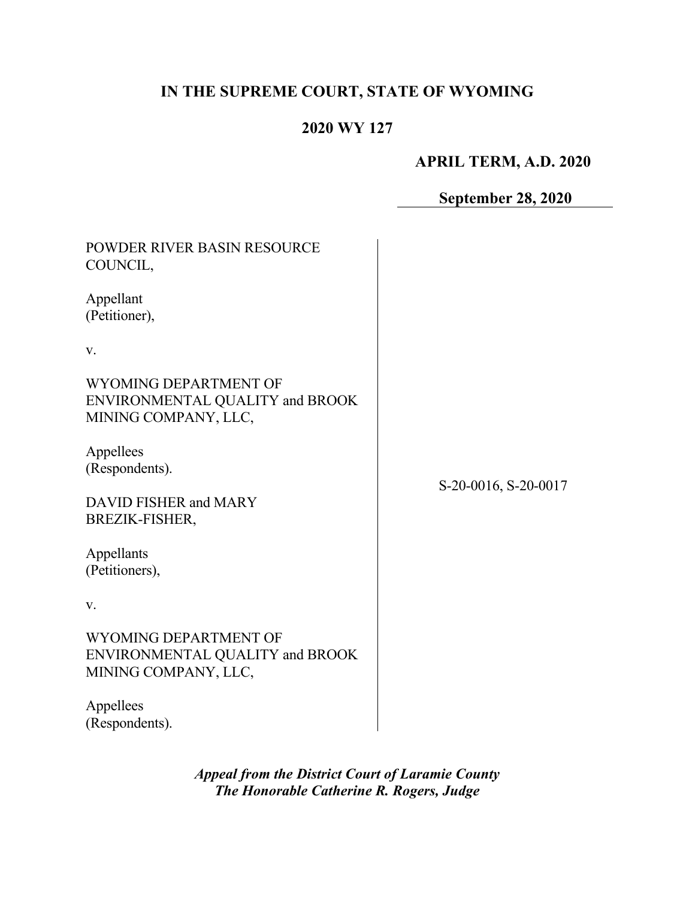# **IN THE SUPREME COURT, STATE OF WYOMING**

## **2020 WY 127**

## **APRIL TERM, A.D. 2020**

## **September 28, 2020**

| POWDER RIVER BASIN RESOURCE<br>COUNCIL,                                          |                      |
|----------------------------------------------------------------------------------|----------------------|
| Appellant<br>(Petitioner),                                                       |                      |
| V.                                                                               |                      |
| WYOMING DEPARTMENT OF<br>ENVIRONMENTAL QUALITY and BROOK<br>MINING COMPANY, LLC, |                      |
| Appellees<br>(Respondents).                                                      | S-20-0016, S-20-0017 |
| DAVID FISHER and MARY<br>BREZIK-FISHER,                                          |                      |
| Appellants<br>(Petitioners),                                                     |                      |
| V.                                                                               |                      |
| WYOMING DEPARTMENT OF<br>ENVIRONMENTAL QUALITY and BROOK<br>MINING COMPANY, LLC, |                      |
| Appellees<br>(Respondents).                                                      |                      |

*Appeal from the District Court of Laramie County The Honorable Catherine R. Rogers, Judge*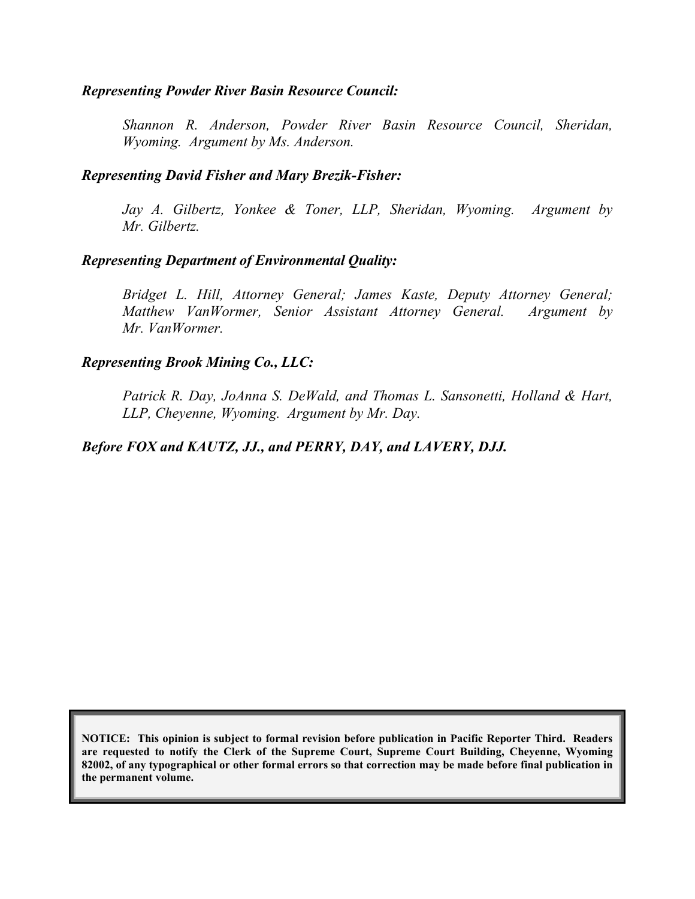#### *Representing Powder River Basin Resource Council:*

*Shannon R. Anderson, Powder River Basin Resource Council, Sheridan, Wyoming. Argument by Ms. Anderson.*

#### *Representing David Fisher and Mary Brezik-Fisher:*

*Jay A. Gilbertz, Yonkee & Toner, LLP, Sheridan, Wyoming. Argument by Mr. Gilbertz.*

#### *Representing Department of Environmental Quality:*

*Bridget L. Hill, Attorney General; James Kaste, Deputy Attorney General; Matthew VanWormer, Senior Assistant Attorney General. Argument by Mr. VanWormer.*

#### *Representing Brook Mining Co., LLC:*

*Patrick R. Day, JoAnna S. DeWald, and Thomas L. Sansonetti, Holland & Hart, LLP, Cheyenne, Wyoming. Argument by Mr. Day.*

#### *Before FOX and KAUTZ, JJ., and PERRY, DAY, and LAVERY, DJJ.*

**NOTICE: This opinion is subject to formal revision before publication in Pacific Reporter Third. Readers are requested to notify the Clerk of the Supreme Court, Supreme Court Building, Cheyenne, Wyoming 82002, of any typographical or other formal errors so that correction may be made before final publication in the permanent volume.**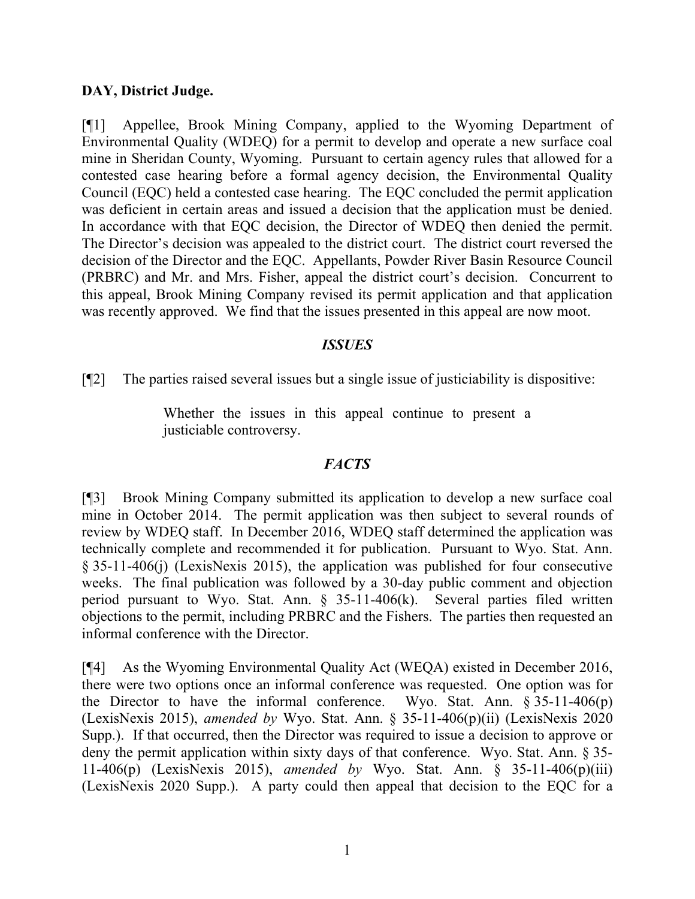## **DAY, District Judge.**

[¶1] Appellee, Brook Mining Company, applied to the Wyoming Department of Environmental Quality (WDEQ) for a permit to develop and operate a new surface coal mine in Sheridan County, Wyoming. Pursuant to certain agency rules that allowed for a contested case hearing before a formal agency decision, the Environmental Quality Council (EQC) held a contested case hearing. The EQC concluded the permit application was deficient in certain areas and issued a decision that the application must be denied. In accordance with that EQC decision, the Director of WDEQ then denied the permit. The Director's decision was appealed to the district court. The district court reversed the decision of the Director and the EQC. Appellants, Powder River Basin Resource Council (PRBRC) and Mr. and Mrs. Fisher, appeal the district court's decision. Concurrent to this appeal, Brook Mining Company revised its permit application and that application was recently approved. We find that the issues presented in this appeal are now moot.

## *ISSUES*

[¶2] The parties raised several issues but a single issue of justiciability is dispositive:

Whether the issues in this appeal continue to present a justiciable controversy.

## *FACTS*

[¶3] Brook Mining Company submitted its application to develop a new surface coal mine in October 2014. The permit application was then subject to several rounds of review by WDEQ staff. In December 2016, WDEQ staff determined the application was technically complete and recommended it for publication. Pursuant to Wyo. Stat. Ann. § 35-11-406(j) (LexisNexis 2015), the application was published for four consecutive weeks. The final publication was followed by a 30-day public comment and objection period pursuant to Wyo. Stat. Ann. § 35-11-406(k). Several parties filed written objections to the permit, including PRBRC and the Fishers. The parties then requested an informal conference with the Director.

[¶4] As the Wyoming Environmental Quality Act (WEQA) existed in December 2016, there were two options once an informal conference was requested. One option was for the Director to have the informal conference. Wyo. Stat. Ann.  $\S 35{\text -}11{\text -}406(p)$ (LexisNexis 2015), *amended by* Wyo. Stat. Ann. § 35-11-406(p)(ii) (LexisNexis 2020 Supp.). If that occurred, then the Director was required to issue a decision to approve or deny the permit application within sixty days of that conference. Wyo. Stat. Ann. § 35- 11-406(p) (LexisNexis 2015), *amended by* Wyo. Stat. Ann. § 35-11-406(p)(iii) (LexisNexis 2020 Supp.). A party could then appeal that decision to the EQC for a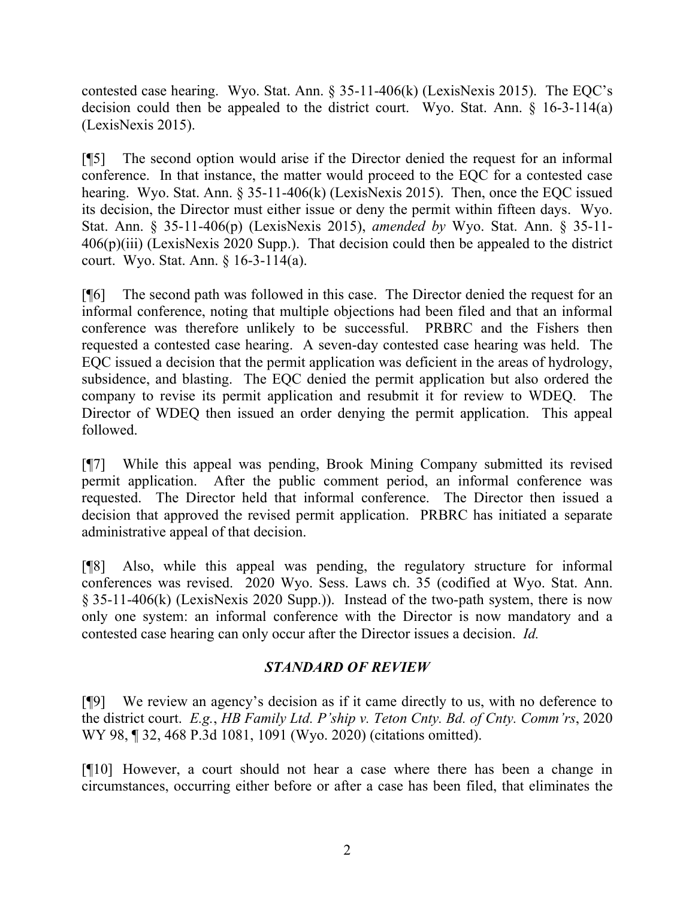contested case hearing. Wyo. Stat. Ann. § 35-11-406(k) (LexisNexis 2015). The EQC's decision could then be appealed to the district court. Wyo. Stat. Ann. § 16-3-114(a) (LexisNexis 2015).

[¶5] The second option would arise if the Director denied the request for an informal conference. In that instance, the matter would proceed to the EQC for a contested case hearing. Wyo. Stat. Ann. § 35-11-406(k) (LexisNexis 2015). Then, once the EQC issued its decision, the Director must either issue or deny the permit within fifteen days. Wyo. Stat. Ann. § 35-11-406(p) (LexisNexis 2015), *amended by* Wyo. Stat. Ann. § 35-11-  $406(p)(iii)$  (LexisNexis 2020 Supp.). That decision could then be appealed to the district court. Wyo. Stat. Ann. § 16-3-114(a).

[¶6] The second path was followed in this case. The Director denied the request for an informal conference, noting that multiple objections had been filed and that an informal conference was therefore unlikely to be successful. PRBRC and the Fishers then requested a contested case hearing. A seven-day contested case hearing was held. The EQC issued a decision that the permit application was deficient in the areas of hydrology, subsidence, and blasting. The EQC denied the permit application but also ordered the company to revise its permit application and resubmit it for review to WDEQ. The Director of WDEQ then issued an order denying the permit application. This appeal followed.

[¶7] While this appeal was pending, Brook Mining Company submitted its revised permit application. After the public comment period, an informal conference was requested. The Director held that informal conference. The Director then issued a decision that approved the revised permit application. PRBRC has initiated a separate administrative appeal of that decision.

[¶8] Also, while this appeal was pending, the regulatory structure for informal conferences was revised. 2020 Wyo. Sess. Laws ch. 35 (codified at Wyo. Stat. Ann. § 35-11-406(k) (LexisNexis 2020 Supp.)). Instead of the two-path system, there is now only one system: an informal conference with the Director is now mandatory and a contested case hearing can only occur after the Director issues a decision. *Id.*

## *STANDARD OF REVIEW*

[¶9] We review an agency's decision as if it came directly to us, with no deference to the district court. *E.g.*, *HB Family Ltd. P'ship v. Teton Cnty. Bd. of Cnty. Comm'rs*, 2020 WY 98, ¶ 32, 468 P.3d 1081, 1091 (Wyo. 2020) (citations omitted).

[¶10] However, a court should not hear a case where there has been a change in circumstances, occurring either before or after a case has been filed, that eliminates the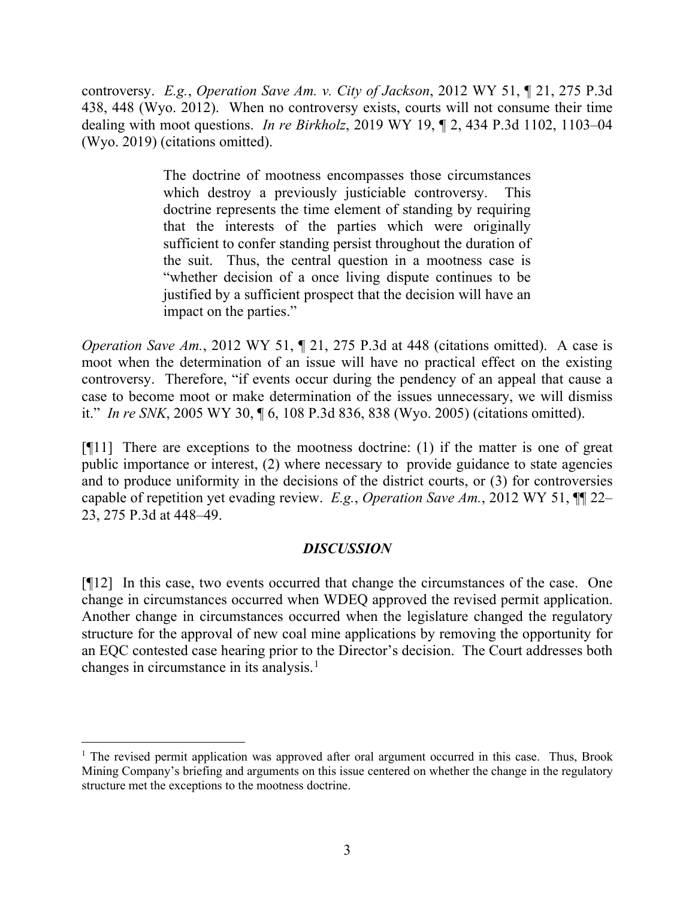controversy. *E.g.*, *Operation Save Am. v. City of Jackson*, 2012 WY 51, ¶ 21, 275 P.3d 438, 448 (Wyo. 2012). When no controversy exists, courts will not consume their time dealing with moot questions. *In re Birkholz*, 2019 WY 19, ¶ 2, 434 P.3d 1102, 1103–04 (Wyo. 2019) (citations omitted).

> The doctrine of mootness encompasses those circumstances which destroy a previously justiciable controversy. This doctrine represents the time element of standing by requiring that the interests of the parties which were originally sufficient to confer standing persist throughout the duration of the suit. Thus, the central question in a mootness case is "whether decision of a once living dispute continues to be justified by a sufficient prospect that the decision will have an impact on the parties."

*Operation Save Am.*, 2012 WY 51, 1 21, 275 P.3d at 448 (citations omitted). A case is moot when the determination of an issue will have no practical effect on the existing controversy. Therefore, "if events occur during the pendency of an appeal that cause a case to become moot or make determination of the issues unnecessary, we will dismiss it." *In re SNK*, 2005 WY 30, ¶ 6, 108 P.3d 836, 838 (Wyo. 2005) (citations omitted).

 $[$ [[11] There are exceptions to the mootness doctrine: (1) if the matter is one of great public importance or interest, (2) where necessary to provide guidance to state agencies and to produce uniformity in the decisions of the district courts, or (3) for controversies capable of repetition yet evading review. *E.g.*, *Operation Save Am.*, 2012 WY 51, ¶¶ 22– 23, 275 P.3d at 448–49.

## *DISCUSSION*

[¶12] In this case, two events occurred that change the circumstances of the case. One change in circumstances occurred when WDEQ approved the revised permit application. Another change in circumstances occurred when the legislature changed the regulatory structure for the approval of new coal mine applications by removing the opportunity for an EQC contested case hearing prior to the Director's decision. The Court addresses both changes in circumstance in its analysis. [1](#page-4-0)

<span id="page-4-0"></span> $1$  The revised permit application was approved after oral argument occurred in this case. Thus, Brook Mining Company's briefing and arguments on this issue centered on whether the change in the regulatory structure met the exceptions to the mootness doctrine.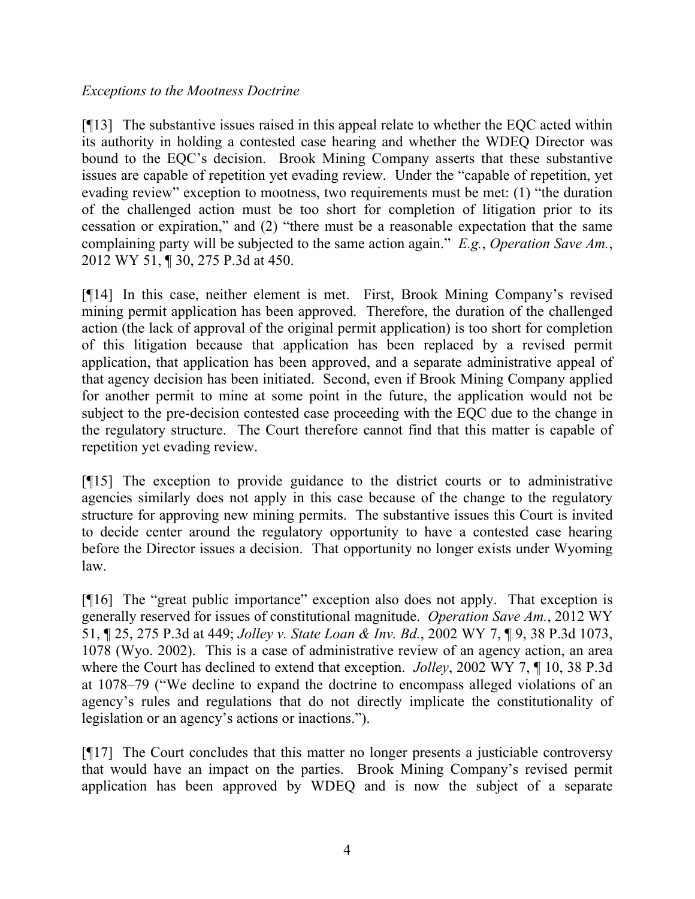## *Exceptions to the Mootness Doctrine*

[¶13] The substantive issues raised in this appeal relate to whether the EQC acted within its authority in holding a contested case hearing and whether the WDEQ Director was bound to the EQC's decision. Brook Mining Company asserts that these substantive issues are capable of repetition yet evading review. Under the "capable of repetition, yet evading review" exception to mootness, two requirements must be met: (1) "the duration of the challenged action must be too short for completion of litigation prior to its cessation or expiration," and (2) "there must be a reasonable expectation that the same complaining party will be subjected to the same action again." *E.g.*, *Operation Save Am.*, 2012 WY 51, ¶ 30, 275 P.3d at 450.

[¶14] In this case, neither element is met. First, Brook Mining Company's revised mining permit application has been approved. Therefore, the duration of the challenged action (the lack of approval of the original permit application) is too short for completion of this litigation because that application has been replaced by a revised permit application, that application has been approved, and a separate administrative appeal of that agency decision has been initiated. Second, even if Brook Mining Company applied for another permit to mine at some point in the future, the application would not be subject to the pre-decision contested case proceeding with the EQC due to the change in the regulatory structure. The Court therefore cannot find that this matter is capable of repetition yet evading review.

[¶15] The exception to provide guidance to the district courts or to administrative agencies similarly does not apply in this case because of the change to the regulatory structure for approving new mining permits. The substantive issues this Court is invited to decide center around the regulatory opportunity to have a contested case hearing before the Director issues a decision. That opportunity no longer exists under Wyoming law.

[¶16] The "great public importance" exception also does not apply. That exception is generally reserved for issues of constitutional magnitude. *Operation Save Am.*, 2012 WY 51, ¶ 25, 275 P.3d at 449; *Jolley v. State Loan & Inv. Bd.*, 2002 WY 7, ¶ 9, 38 P.3d 1073, 1078 (Wyo. 2002). This is a case of administrative review of an agency action, an area where the Court has declined to extend that exception. *Jolley*, 2002 WY 7, ¶ 10, 38 P.3d at 1078–79 ("We decline to expand the doctrine to encompass alleged violations of an agency's rules and regulations that do not directly implicate the constitutionality of legislation or an agency's actions or inactions.").

[¶17] The Court concludes that this matter no longer presents a justiciable controversy that would have an impact on the parties. Brook Mining Company's revised permit application has been approved by WDEQ and is now the subject of a separate